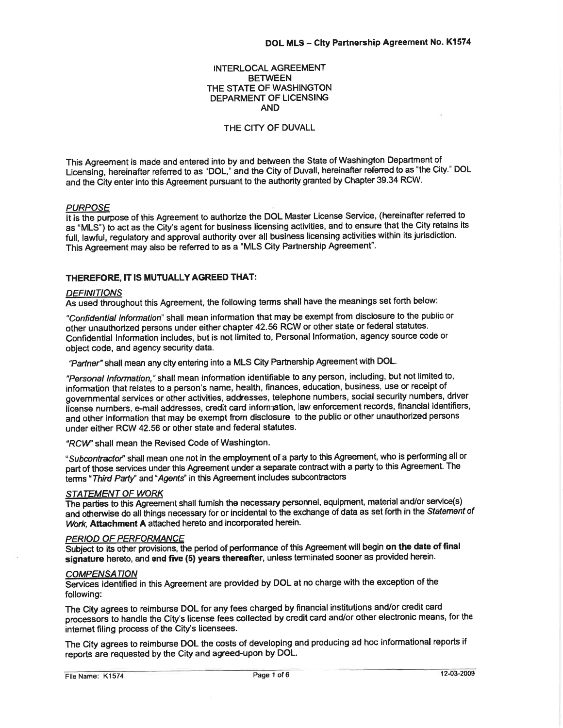## INTERLOCAL AGREEMENT **BETWEEN** THE STATE OF WASHINGTON DEPARMENT OF LICENSING AND

## THE CITY OF DUVALL

This Agreement is made and entered into by and between the State of Washington Department of Licensing, hereinafier refened to as "DOL," and the City of Duvall, hereinafter refened to as "the City.' DOL and the City enter into this Agreement pursuant to the authority granted by Chapter 39.34 RCW.

PURPOSE<br>It is the purpose of this Agreement to authorize the DOL Master License Service, (hereinafter referred to as "MLS") to act as the City's agent for business licensing activities, and to ensure that the City retains its full, lawful, regulatory and approval authority over all business licensing activities within its jurisdiction. This Agreement may also be referred to as a "MLS City Partnership Agreement".

## THEREFORE, IT IS MUTUALLY AGREED THAT:

#### **DEFINITIONS**

As used throughout this Agreement, the following terms shall have the meanings set forth below:

"Confidential Information" shall mean information that may be exempt from disclosure to the public or other unauthorized persons under either chapter 42.56 RCW or other state or federal statutes. Confidential lnformation includes, but is not limited to, Personal lnformation, agency source code or object code, and agency security data.

"Partner" shall mean any city entering into a MLS City Partnership Agreement with DOL.

"Personal Information," shall mean information identifiable to any person, including, but not limited to, information that relates to a person's name, health, finances, education, business, use or receipt of govemmental services or other activities, addresses, telephone numbers, social security numbers, driver iicense numbers, e-mail addresses, credit card infom ation, law enforcement records, financial identifiers, and other information that may be exempt from disclosure to the public or other unauthorized persons under either RCW 42.56 or other state and federal statutes.

"RCW" shall mean the Revised Code of Washington.

"Subcontractor" shall mean one not in the employment of a party to this Agreement, who is performing all or part of those services under this Agreement under a separate contract with a party to this Agreement. The terms "Third Party" and "Agents" in this Agreement includes subcontractors

## STATEMENT OF WORK

The parties to this Agreement shall fumish the necessary personnel, equipment, material and/or service(s) and otherwise do all things necessary for or incidental to the exchange of data as set forth in the Statement of Work, Attachment A attached hereto and incorporated herein.

#### PERIOD OF PERFORMANCE

Subject to its other provisions, the period of performance of this Agreement will begin on the date of final signature hereto, and end five (5) years thereafter, unless terminated sooner as provided herein.

### **COMPENSATION**

Sewices identifìed in this Agreement are provided by DOL at no charge with the exception of the following:

The City agrees to reimburse DOL for any fees charged by financial institutions and/or credit card processors to handle the City's license fees collected by credit card and/or other electronic means, for the intemet filing process of the City's licensees.

The City agrees to reimburse DOL the costs of developing and producing ad hoc informational reports if reports are requested by the City and agreed-upon by DOL.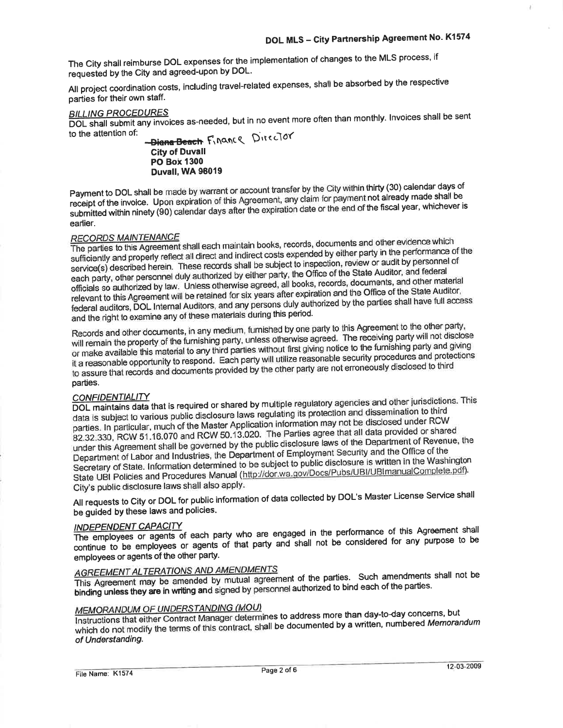The City shall reimburse DOL expenses for the implementation of changes to the MLS process, if requested by the City and agreed-upon by DOL.

All project coordination costs, including travel-related expenses, shall be absorbed by the respective parties for their own staff.

## **BILLING PROCEDURES**

DOL shall submit any invoices as-needed, but in no event more often than monthly. Invoices shall be sent to the attention of:

-Diana-Beach Finance Director **City of Duvall PO Box 1300** Duvall, WA 98019

Payment to DOL shall be made by warrant or account transfer by the City within thirty (30) calendar days of receipt of the invoice. Upon expiration of this Agreement, any claim for payment not already made shall be submitted within ninety (90) calendar days after the expiration date or the end of the fiscal year, whichever is earlier.

## **RECORDS MAINTENANCE**

The parties to this Agreement shall each maintain books, records, documents and other evidence which sufficiently and properly reflect all direct and indirect costs expended by either party in the performance of the service(s) described herein. These records shall be subject to inspection, review or audit by personnel of each party, other personnel duly authorized by either party, the Office of the State Auditor, and federal officials so authorized by law. Unless otherwise agreed, all books, records, documents, and other material relevant to this Agreement will be retained for six years after expiration and the Office of the State Auditor, federal auditors, DOL Internal Auditors, and any persons duly authorized by the parties shall have full access and the right to examine any of these materials during this period.

Records and other documents, in any medium, furnished by one party to this Agreement to the other party, will remain the property of the furnishing party, unless otherwise agreed. The receiving party will not disclose or make available this material to any third parties without first giving notice to the furnishing party and giving it a reasonable opportunity to respond. Each party will utilize reasonable security procedures and protections to assure that records and documents provided by the other party are not erroneously disclosed to third parties.

## **CONFIDENTIALITY**

DOL maintains data that is required or shared by multiple regulatory agencies and other jurisdictions. This data is subject to various public disclosure laws regulating its protection and dissemination to third parties. In particular, much of the Master Application information may not be disclosed under RCW 82.32.330, RCW 51.16.070 and RCW 50.13.020. The Parties agree that all data provided or shared under this Agreement shall be governed by the public disclosure laws of the Department of Revenue, the Department of Labor and Industries, the Department of Employment Security and the Office of the Secretary of State. Information determined to be subject to public disclosure is written in the Washington State UBI Policies and Procedures Manual (http://dor.wa.gov/Docs/Pubs/UBI/UBImanualComplete.pdf). City's public disclosure laws shall also apply.

All requests to City or DOL for public information of data collected by DOL's Master License Service shall be guided by these laws and policies.

## **INDEPENDENT CAPACITY**

The employees or agents of each party who are engaged in the performance of this Agreement shall continue to be employees or agents of that party and shall not be considered for any purpose to be employees or agents of the other party.

# **AGREEMENT ALTERATIONS AND AMENDMENTS**

This Agreement may be amended by mutual agreement of the parties. Such amendments shall not be binding unless they are in writing and signed by personnel authorized to bind each of the parties.

## **MEMORANDUM OF UNDERSTANDING (MOU)**

Instructions that either Contract Manager determines to address more than day-to-day concerns, but which do not modify the terms of this contract, shall be documented by a written, numbered Memorandum of Understanding.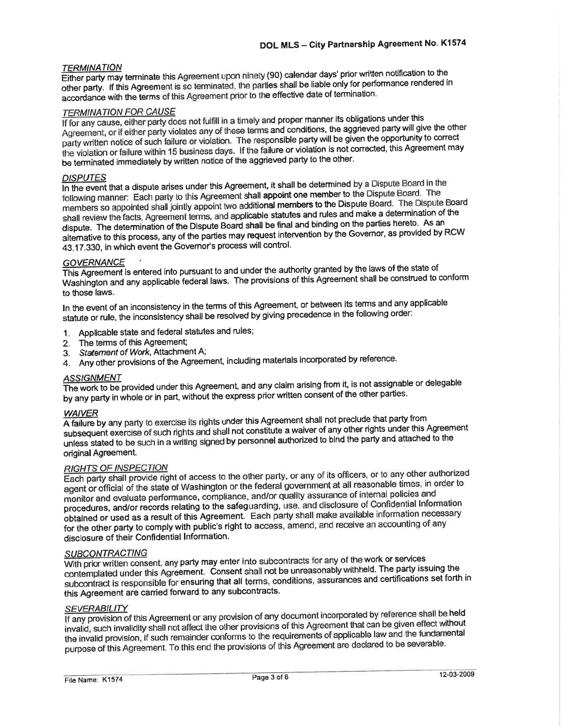## **TERMINATION**

Either party may terminate this Agreement upon ninety (90) calendar days' prior written notification to the other party. If this Agreement is so terminated, the parties shall be liable only for performance rendered in accordance with the terms of this Agreement prior to the effective date of termination.

## **TERMINATION FOR CAUSE**

If for any cause, either party does not fulfill in a timely and proper manner its obligations under this Agreement, or if either party violates any of these terms and conditions, the aggrieved party will give the other party written notice of such failure or violation. The responsible party will be given the opportunity to correct the violation or failure within 15 business days. If the failure or violation is not corrected, this Agreement may be terminated immediately by written notice of the aggrieved party to the other.

## **DISPUTES**

In the event that a dispute arises under this Agreement, it shall be determined by a Dispute Board in the following manner: Each party to this Agreement shall appoint one member to the Dispute Board. The members so appointed shall jointly appoint two additional members to the Dispute Board. The Dispute Board shall review the facts, Agreement terms, and applicable statutes and rules and make a determination of the dispute. The determination of the Dispute Board shall be final and binding on the parties hereto. As an alternative to this process, any of the parties may request intervention by the Governor, as provided by RCW 43.17.330, in which event the Governor's process will control.

## **GOVERNANCE**

This Agreement is entered into pursuant to and under the authority granted by the laws of the state of Washington and any applicable federal laws. The provisions of this Agreement shall be construed to conform to those laws.

In the event of an inconsistency in the terms of this Agreement, or between its terms and any applicable statute or rule, the inconsistency shall be resolved by giving precedence in the following order:

- 1. Applicable state and federal statutes and rules;
- The terms of this Agreement;  $2<sup>1</sup>$
- Statement of Work, Attachment A;  $3.$
- 4. Any other provisions of the Agreement, including materials incorporated by reference.

## **ASSIGNMENT**

The work to be provided under this Agreement, and any claim arising from it, is not assignable or delegable by any party in whole or in part, without the express prior written consent of the other parties.

## **WAIVER**

A failure by any party to exercise its rights under this Agreement shall not preclude that party from subsequent exercise of such rights and shall not constitute a waiver of any other rights under this Agreement unless stated to be such in a writing signed by personnel authorized to bind the party and attached to the original Agreement.

## **RIGHTS OF INSPECTION**

Each party shall provide right of access to the other party, or any of its officers, or to any other authorized agent or official of the state of Washington or the federal government at all reasonable times, in order to monitor and evaluate performance, compliance, and/or quality assurance of internal policies and procedures, and/or records relating to the safeguarding, use, and disclosure of Confidential Information obtained or used as a result of this Agreement. Each party shall make available information necessary for the other party to comply with public's right to access, amend, and receive an accounting of any disclosure of their Confidential Information.

## **SUBCONTRACTING**

With prior written consent, any party may enter into subcontracts for any of the work or services contemplated under this Agreement. Consent shall not be unreasonably withheld. The party issuing the subcontract is responsible for ensuring that all terms, conditions, assurances and certifications set forth in this Agreement are carried forward to any subcontracts.

## **SEVERABILITY**

If any provision of this Agreement or any provision of any document incorporated by reference shall be held invalid, such invalidity shall not affect the other provisions of this Agreement that can be given effect without the invalid provision, if such remainder conforms to the requirements of applicable law and the fundamental purpose of this Agreement. To this end the provisions of this Agreement are declared to be severable.